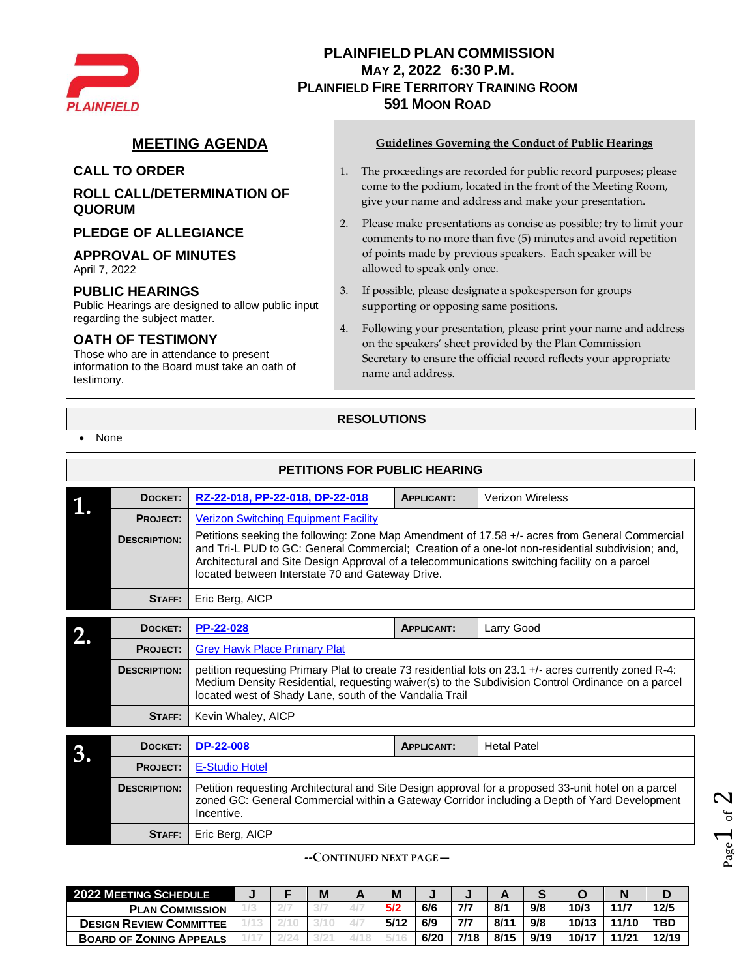

# **PLAINFIELD PLAN COMMISSION MAY 2, 2022 6:30 P.M. PLAINFIELD FIRE TERRITORY TRAINING ROOM 591 MOON ROAD**

## **ROLL CALL/DETERMINATION OF QUORUM**

#### **PLEDGE OF ALLEGIANCE**

#### **APPROVAL OF MINUTES**

April 7, 2022

#### **PUBLIC HEARINGS**

Public Hearings are designed to allow public input regarding the subject matter.

### **OATH OF TESTIMONY**

Those who are in attendance to present information to the Board must take an oath of testimony.

#### **MEETING AGENDA Guidelines Governing the Conduct of Public Hearings**

- **CALL TO ORDER** 1. The proceedings are recorded for public record purposes; please come to the podium, located in the front of the Meeting Room, give your name and address and make your presentation.
	- 2. Please make presentations as concise as possible; try to limit your comments to no more than five (5) minutes and avoid repetition of points made by previous speakers. Each speaker will be allowed to speak only once.
	- 3. If possible, please designate a spokesperson for groups supporting or opposing same positions.
	- 4. Following your presentation, please print your name and address on the speakers' sheet provided by the Plan Commission Secretary to ensure the official record reflects your appropriate name and address.

## **RESOLUTIONS**

• None

|    |                     | <b>PETITIONS FOR PUBLIC HEARING</b>                                                                                                                                                                                                                                                                                                                     |                   |                         |  |  |  |  |  |  |  |  |  |
|----|---------------------|---------------------------------------------------------------------------------------------------------------------------------------------------------------------------------------------------------------------------------------------------------------------------------------------------------------------------------------------------------|-------------------|-------------------------|--|--|--|--|--|--|--|--|--|
|    | DOCKET:             | RZ-22-018, PP-22-018, DP-22-018                                                                                                                                                                                                                                                                                                                         | <b>APPLICANT:</b> | <b>Verizon Wireless</b> |  |  |  |  |  |  |  |  |  |
|    | <b>PROJECT:</b>     | <b>Verizon Switching Equipment Facility</b>                                                                                                                                                                                                                                                                                                             |                   |                         |  |  |  |  |  |  |  |  |  |
|    | <b>DESCRIPTION:</b> | Petitions seeking the following: Zone Map Amendment of 17.58 +/- acres from General Commercial<br>and Tri-L PUD to GC: General Commercial; Creation of a one-lot non-residential subdivision; and,<br>Architectural and Site Design Approval of a telecommunications switching facility on a parcel<br>located between Interstate 70 and Gateway Drive. |                   |                         |  |  |  |  |  |  |  |  |  |
|    | STAFF:              | Eric Berg, AICP                                                                                                                                                                                                                                                                                                                                         |                   |                         |  |  |  |  |  |  |  |  |  |
|    | DOCKET:             | PP-22-028                                                                                                                                                                                                                                                                                                                                               | <b>APPLICANT:</b> | Larry Good              |  |  |  |  |  |  |  |  |  |
|    | PROJECT:            | <b>Grey Hawk Place Primary Plat</b>                                                                                                                                                                                                                                                                                                                     |                   |                         |  |  |  |  |  |  |  |  |  |
|    | <b>DESCRIPTION:</b> | petition requesting Primary Plat to create 73 residential lots on 23.1 +/- acres currently zoned R-4:<br>Medium Density Residential, requesting waiver(s) to the Subdivision Control Ordinance on a parcel<br>located west of Shady Lane, south of the Vandalia Trail                                                                                   |                   |                         |  |  |  |  |  |  |  |  |  |
|    | STAFF:              | Kevin Whaley, AICP                                                                                                                                                                                                                                                                                                                                      |                   |                         |  |  |  |  |  |  |  |  |  |
|    |                     |                                                                                                                                                                                                                                                                                                                                                         |                   |                         |  |  |  |  |  |  |  |  |  |
| 3. | DOCKET:             | <b>DP-22-008</b>                                                                                                                                                                                                                                                                                                                                        | <b>APPLICANT:</b> | <b>Hetal Patel</b>      |  |  |  |  |  |  |  |  |  |
|    | <b>PROJECT:</b>     | <b>E-Studio Hotel</b>                                                                                                                                                                                                                                                                                                                                   |                   |                         |  |  |  |  |  |  |  |  |  |
|    | <b>DESCRIPTION:</b> | Petition requesting Architectural and Site Design approval for a proposed 33-unit hotel on a parcel<br>zoned GC: General Commercial within a Gateway Corridor including a Depth of Yard Development<br>Incentive.                                                                                                                                       |                   |                         |  |  |  |  |  |  |  |  |  |
|    | STAFF:              | Eric Berg, AICP                                                                                                                                                                                                                                                                                                                                         |                   |                         |  |  |  |  |  |  |  |  |  |

#### **--CONTINUED NEXT PAGE—**

| <b>2022 MEETING SCHEDULE</b>   |  | M | M    |      |      |      |      |       |       |            |
|--------------------------------|--|---|------|------|------|------|------|-------|-------|------------|
| <b>PLAN COMMISSION</b>         |  |   | 5/2  | 6/6  | 7/7  | 8/1  | 9/8  | 10/3  | 11/7  | 12/5       |
| <b>DESIGN REVIEW COMMITTEE</b> |  |   | 5/12 | 6/9  | 7/7  | 8/11 | 9/8  | 10/13 | 11/10 | <b>TBD</b> |
| <b>BOARD OF ZONING APPEALS</b> |  |   |      | 6/20 | 7/18 | 8/15 | 9/19 | 10/17 | 11/21 | 12/19      |